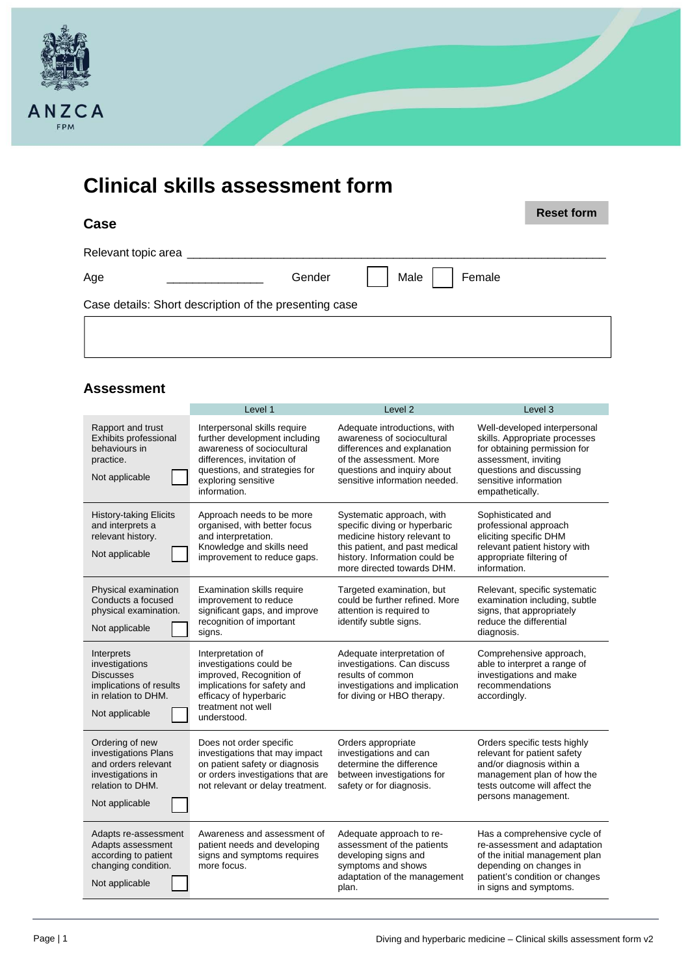

# **Clinical skills assessment form**

| Case                                                   |        |      |        | <b>Reset form</b> |
|--------------------------------------------------------|--------|------|--------|-------------------|
| Relevant topic area                                    |        |      |        |                   |
| Age                                                    | Gender | Male | Female |                   |
| Case details: Short description of the presenting case |        |      |        |                   |
|                                                        |        |      |        |                   |
|                                                        |        |      |        |                   |

# **Assessment**

|                                                                                                                           | Level 1                                                                                                                                                                                           | Level <sub>2</sub>                                                                                                                                                                          | Level 3                                                                                                                                                                                       |
|---------------------------------------------------------------------------------------------------------------------------|---------------------------------------------------------------------------------------------------------------------------------------------------------------------------------------------------|---------------------------------------------------------------------------------------------------------------------------------------------------------------------------------------------|-----------------------------------------------------------------------------------------------------------------------------------------------------------------------------------------------|
| Rapport and trust<br>Exhibits professional<br>behaviours in<br>practice.<br>Not applicable                                | Interpersonal skills require<br>further development including<br>awareness of sociocultural<br>differences, invitation of<br>questions, and strategies for<br>exploring sensitive<br>information. | Adequate introductions, with<br>awareness of sociocultural<br>differences and explanation<br>of the assessment. More<br>questions and inquiry about<br>sensitive information needed.        | Well-developed interpersonal<br>skills. Appropriate processes<br>for obtaining permission for<br>assessment, inviting<br>questions and discussing<br>sensitive information<br>empathetically. |
| <b>History-taking Elicits</b><br>and interprets a<br>relevant history.<br>Not applicable                                  | Approach needs to be more<br>organised, with better focus<br>and interpretation.<br>Knowledge and skills need<br>improvement to reduce gaps.                                                      | Systematic approach, with<br>specific diving or hyperbaric<br>medicine history relevant to<br>this patient, and past medical<br>history. Information could be<br>more directed towards DHM. | Sophisticated and<br>professional approach<br>eliciting specific DHM<br>relevant patient history with<br>appropriate filtering of<br>information.                                             |
| Physical examination<br>Conducts a focused<br>physical examination.<br>Not applicable                                     | <b>Examination skills require</b><br>improvement to reduce<br>significant gaps, and improve<br>recognition of important<br>signs.                                                                 | Targeted examination, but<br>could be further refined. More<br>attention is required to<br>identify subtle signs.                                                                           | Relevant, specific systematic<br>examination including, subtle<br>signs, that appropriately<br>reduce the differential<br>diagnosis.                                                          |
| Interprets<br>investigations<br><b>Discusses</b><br>implications of results<br>in relation to DHM.<br>Not applicable      | Interpretation of<br>investigations could be<br>improved, Recognition of<br>implications for safety and<br>efficacy of hyperbaric<br>treatment not well<br>understood.                            | Adequate interpretation of<br>investigations. Can discuss<br>results of common<br>investigations and implication<br>for diving or HBO therapy.                                              | Comprehensive approach,<br>able to interpret a range of<br>investigations and make<br>recommendations<br>accordingly.                                                                         |
| Ordering of new<br>investigations Plans<br>and orders relevant<br>investigations in<br>relation to DHM.<br>Not applicable | Does not order specific<br>investigations that may impact<br>on patient safety or diagnosis<br>or orders investigations that are<br>not relevant or delay treatment.                              | Orders appropriate<br>investigations and can<br>determine the difference<br>between investigations for<br>safety or for diagnosis.                                                          | Orders specific tests highly<br>relevant for patient safety<br>and/or diagnosis within a<br>management plan of how the<br>tests outcome will affect the<br>persons management.                |
| Adapts re-assessment<br>Adapts assessment<br>according to patient<br>changing condition.<br>Not applicable                | Awareness and assessment of<br>patient needs and developing<br>signs and symptoms requires<br>more focus.                                                                                         | Adequate approach to re-<br>assessment of the patients<br>developing signs and<br>symptoms and shows<br>adaptation of the management<br>plan.                                               | Has a comprehensive cycle of<br>re-assessment and adaptation<br>of the initial management plan<br>depending on changes in<br>patient's condition or changes<br>in signs and symptoms.         |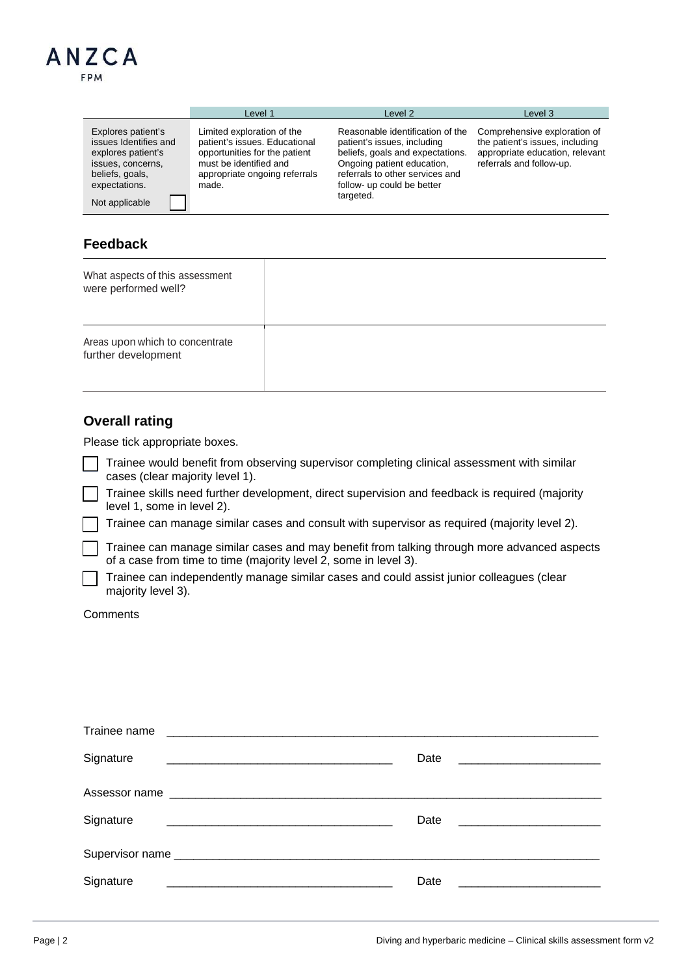

|                                                                                                                                                                                                                                                                                                                                                                                                                                                                                                                                     | Level 3                                                                                                                        |
|-------------------------------------------------------------------------------------------------------------------------------------------------------------------------------------------------------------------------------------------------------------------------------------------------------------------------------------------------------------------------------------------------------------------------------------------------------------------------------------------------------------------------------------|--------------------------------------------------------------------------------------------------------------------------------|
| Limited exploration of the<br>Reasonable identification of the<br>Explores patient's<br>patient's issues. Educational<br>issues Identifies and<br>patient's issues, including<br>beliefs, goals and expectations.<br>opportunities for the patient<br>explores patient's<br>must be identified and<br>Ongoing patient education,<br>issues, concerns,<br>referrals to other services and<br>appropriate ongoing referrals<br>beliefs, goals,<br>follow- up could be better<br>expectations.<br>made.<br>targeted.<br>Not applicable | Comprehensive exploration of<br>the patient's issues, including<br>appropriate education, relevant<br>referrals and follow-up. |

# **Feedback**

| What aspects of this assessment<br>were performed well? |  |
|---------------------------------------------------------|--|
| Areas upon which to concentrate<br>further development  |  |

### **Overall rating**

Please tick appropriate boxes.

| Trainee would benefit from observing supervisor completing clinical assessment with similar |  |
|---------------------------------------------------------------------------------------------|--|
| cases (clear majority level 1).                                                             |  |

Trainee skills need further development, direct supervision and feedback is required (majority level 1, some in level 2).

Trainee can manage similar cases and consult with supervisor as required (majority level 2).

 $\Box$  Trainee can manage similar cases and may benefit from talking through more advanced aspects of a case from time to time (majority level 2, some in level 3).

Trainee can independently manage similar cases and could assist junior colleagues (clear  $\Box$ majority level 3).

**Comments** 

 $\mathcal{L}_{\mathcal{A}}$ 

| Trainee name                                                                                                         |                                                    |
|----------------------------------------------------------------------------------------------------------------------|----------------------------------------------------|
| Signature                                                                                                            | Date                                               |
| <u> 1980 - Johann John Stone, mars eta bat eta bat eta bat eta bat eta bat ez arteko harta bat eta bat ez arteko</u> | <u> 1986 - Jan Samuel Barbara, margaret e</u>      |
|                                                                                                                      |                                                    |
| Signature                                                                                                            | Date                                               |
| <u> 1980 - Johann John Stein, marwolaeth a breisinn a breisinn a breisinn a breisinn a breisinn a breisinn a bre</u> | <u> 1980 - Andrea Andrew Maria (h. 1980).</u>      |
|                                                                                                                      |                                                    |
| Signature                                                                                                            | Date                                               |
|                                                                                                                      | <u> 1989 - John Stein, Amerikaansk politiker (</u> |